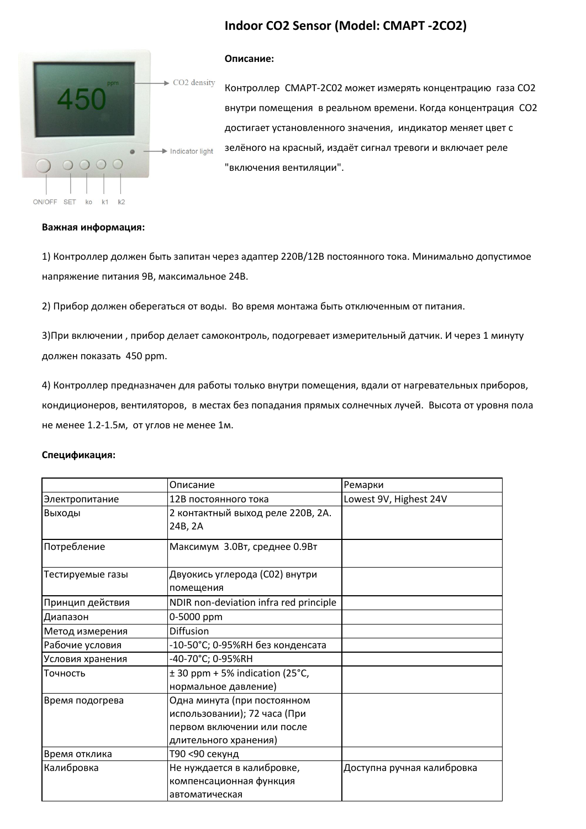# **Indoor CO2 Sensor (Model: СМАРТ -2CO2)**



#### **Описание:**

Контроллер СМАРТ-2C02 может измерять концентрацию газа CO2 внутри помещения в реальном времени. Когда концентрация CO2 достигает установленного значения, индикатор меняет цвет с зелёного на красный, издаёт сигнал тревоги и включает реле "включения вентиляции".

#### **Важная информация:**

1) Контроллер должен быть запитан через адаптер 220В/12В постоянного тока. Минимально допустимое напряжение питания 9В, максимальное 24В.

2) Прибор должен оберегаться от воды. Во время монтажа быть отключенным от питания.

3)При включении , прибор делает самоконтроль, подогревает измерительный датчик. И через 1 минуту должен показать 450 ppm.

4) Контроллер предназначен для работы только внутри помещения, вдали от нагревательных приборов, кондиционеров, вентиляторов, в местах без попадания прямых солнечных лучей. Высота от уровня пола не менее 1.2-1.5м, от углов не менее 1м.

#### **Спецификация:**

|                  | Описание                                                                                                           | Ремарки                    |
|------------------|--------------------------------------------------------------------------------------------------------------------|----------------------------|
| Электропитание   | 12В постоянного тока                                                                                               | Lowest 9V, Highest 24V     |
| Выходы           | 2 контактный выход реле 220В, 2А.<br>24B, 2A                                                                       |                            |
| Потребление      | Максимум 3.0Вт, среднее 0.9Вт                                                                                      |                            |
| Тестируемые газы | Двуокись углерода (СО2) внутри<br>помещения                                                                        |                            |
| Принцип действия | NDIR non-deviation infra red principle                                                                             |                            |
| Диапазон         | 0-5000 ppm                                                                                                         |                            |
| Метод измерения  | <b>Diffusion</b>                                                                                                   |                            |
| Рабочие условия  | -10-50°С; 0-95%RH без конденсата                                                                                   |                            |
| Условия хранения | -40-70°C; 0-95%RH                                                                                                  |                            |
| Точность         | $\pm$ 30 ppm + 5% indication (25°C,<br>нормальное давление)                                                        |                            |
| Время подогрева  | Одна минута (при постоянном<br>использовании); 72 часа (При<br>первом включении или после<br>длительного хранения) |                            |
| Время отклика    | Т90 <90 секунд                                                                                                     |                            |
| Калибровка       | Не нуждается в калибровке,<br>компенсационная функция<br>автоматическая                                            | Доступна ручная калибровка |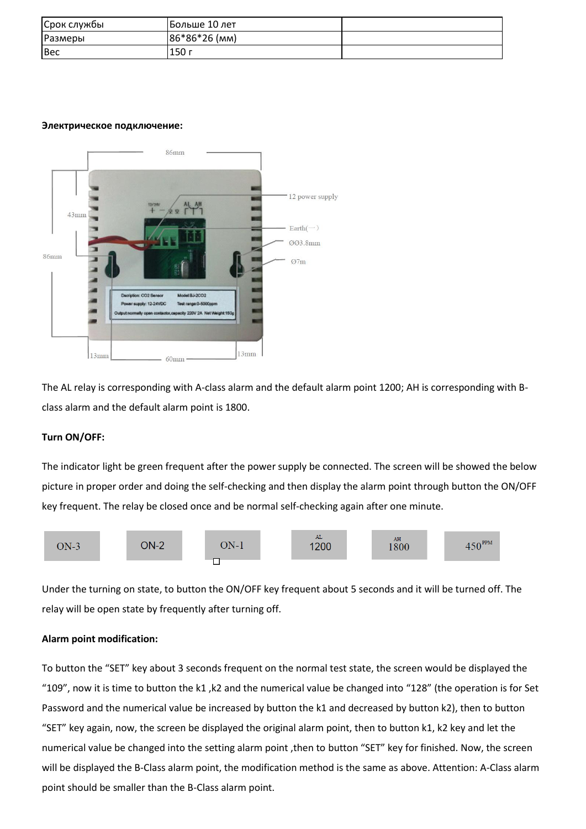| Срок службы    | Больше 10 лет |  |
|----------------|---------------|--|
| <b>Размеры</b> | 86*86*26 (MM) |  |
| Bec            | 150 г         |  |

## **Электрическое подключение:**



The AL relay is corresponding with A-class alarm and the default alarm point 1200; AH is corresponding with Bclass alarm and the default alarm point is 1800.

# **Turn ON/OFF:**

The indicator light be green frequent after the power supply be connected. The screen will be showed the below picture in proper order and doing the self-checking and then display the alarm point through button the ON/OFF key frequent. The relay be closed once and be normal self-checking again after one minute.



Under the turning on state, to button the ON/OFF key frequent about 5 seconds and it will be turned off. The relay will be open state by frequently after turning off.

# **Alarm point modification:**

To button the "SET" key about 3 seconds frequent on the normal test state, the screen would be displayed the "109", now it is time to button the k1 ,k2 and the numerical value be changed into "128" (the operation is for Set Password and the numerical value be increased by button the k1 and decreased by button k2), then to button "SET" key again, now, the screen be displayed the original alarm point, then to button k1, k2 key and let the numerical value be changed into the setting alarm point ,then to button "SET" key for finished. Now, the screen will be displayed the B-Class alarm point, the modification method is the same as above. Attention: A-Class alarm point should be smaller than the B-Class alarm point.